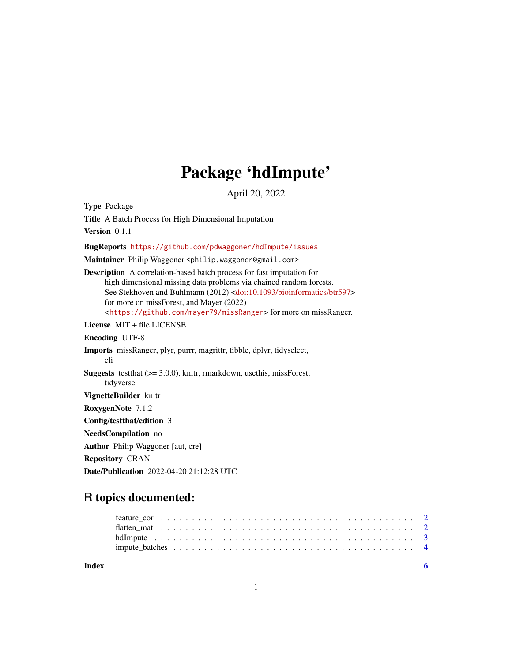## Package 'hdImpute'

April 20, 2022

Type Package

Title A Batch Process for High Dimensional Imputation Version 0.1.1 BugReports <https://github.com/pdwaggoner/hdImpute/issues> Maintainer Philip Waggoner <philip.waggoner@gmail.com> Description A correlation-based batch process for fast imputation for high dimensional missing data problems via chained random forests. See Stekhoven and Bühlmann (2012) [<doi:10.1093/bioinformatics/btr597>](https://doi.org/10.1093/bioinformatics/btr597) for more on missForest, and Mayer (2022) <<https://github.com/mayer79/missRanger>> for more on missRanger. License MIT + file LICENSE Encoding UTF-8 Imports missRanger, plyr, purrr, magrittr, tibble, dplyr, tidyselect, cli Suggests testthat (>= 3.0.0), knitr, rmarkdown, usethis, missForest, tidyverse VignetteBuilder knitr RoxygenNote 7.1.2 Config/testthat/edition 3 NeedsCompilation no Author Philip Waggoner [aut, cre] Repository CRAN Date/Publication 2022-04-20 21:12:28 UTC

### R topics documented:

| Index |  |
|-------|--|
|       |  |
|       |  |
|       |  |
|       |  |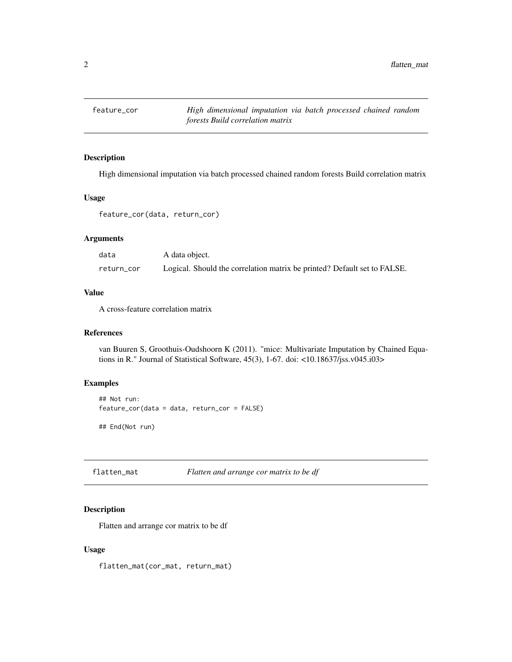<span id="page-1-0"></span>

#### Description

High dimensional imputation via batch processed chained random forests Build correlation matrix

#### Usage

```
feature_cor(data, return_cor)
```
#### Arguments

| data       | A data object.                                                           |
|------------|--------------------------------------------------------------------------|
| return_cor | Logical. Should the correlation matrix be printed? Default set to FALSE. |

#### Value

A cross-feature correlation matrix

#### References

van Buuren S, Groothuis-Oudshoorn K (2011). "mice: Multivariate Imputation by Chained Equations in R." Journal of Statistical Software, 45(3), 1-67. doi: <10.18637/jss.v045.i03>

#### Examples

```
## Not run:
feature_cor(data = data, return_cor = FALSE)
```
## End(Not run)

flatten\_mat *Flatten and arrange cor matrix to be df*

#### Description

Flatten and arrange cor matrix to be df

#### Usage

flatten\_mat(cor\_mat, return\_mat)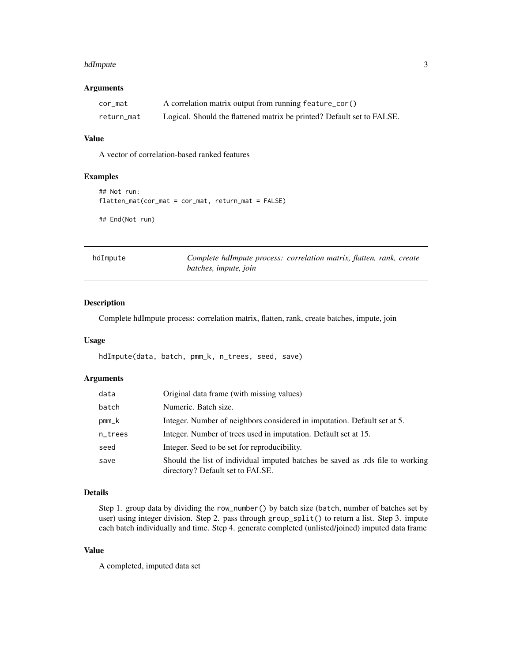#### <span id="page-2-0"></span>hdImpute 300 and 300 and 300 and 300 and 300 and 300 and 300 and 300 and 300 and 300 and 300 and 300 and 300 and 300 and 300 and 300 and 300 and 300 and 300 and 300 and 300 and 300 and 300 and 300 and 300 and 300 and 300 a

#### Arguments

| cor_mat    | A correlation matrix output from running feature_cor()                 |
|------------|------------------------------------------------------------------------|
| return_mat | Logical. Should the flattened matrix be printed? Default set to FALSE. |

#### Value

A vector of correlation-based ranked features

#### Examples

```
## Not run:
flatten_mat(cor_mat = cor_mat, return_mat = FALSE)
```
## End(Not run)

| hdImpute | Complete halmpute process: correlation matrix, flatten, rank, create |  |  |
|----------|----------------------------------------------------------------------|--|--|
|          | batches, impute, join                                                |  |  |

#### **Description**

Complete hdImpute process: correlation matrix, flatten, rank, create batches, impute, join

#### Usage

```
hdImpute(data, batch, pmm_k, n_trees, seed, save)
```
#### Arguments

| data                   | Original data frame (with missing values)                                                                          |
|------------------------|--------------------------------------------------------------------------------------------------------------------|
| batch                  | Numeric. Batch size.                                                                                               |
| $pmm$ <sub>_</sub> $k$ | Integer. Number of neighbors considered in imputation. Default set at 5.                                           |
| n_trees                | Integer. Number of trees used in imputation. Default set at 15.                                                    |
| seed                   | Integer. Seed to be set for reproducibility.                                                                       |
| save                   | Should the list of individual imputed batches be saved as .rds file to working<br>directory? Default set to FALSE. |

#### Details

Step 1. group data by dividing the row\_number() by batch size (batch, number of batches set by user) using integer division. Step 2. pass through group\_split() to return a list. Step 3. impute each batch individually and time. Step 4. generate completed (unlisted/joined) imputed data frame

#### Value

A completed, imputed data set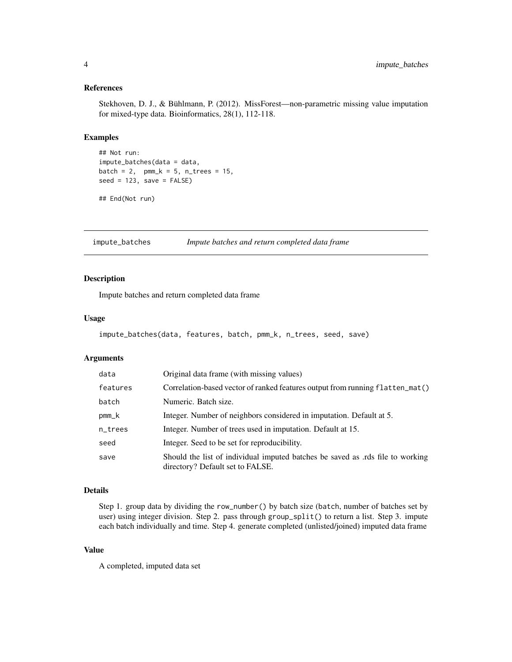#### <span id="page-3-0"></span>References

Stekhoven, D. J., & Bühlmann, P. (2012). MissForest—non-parametric missing value imputation for mixed-type data. Bioinformatics, 28(1), 112-118.

#### Examples

```
## Not run:
impute_batches(data = data,
batch = 2, pmm_k = 5, n_trees = 15,
seed = 123, save = FALSE)
```

```
## End(Not run)
```
impute\_batches *Impute batches and return completed data frame*

#### Description

Impute batches and return completed data frame

#### Usage

```
impute_batches(data, features, batch, pmm_k, n_trees, seed, save)
```
#### Arguments

| data                   | Original data frame (with missing values)                                                                         |
|------------------------|-------------------------------------------------------------------------------------------------------------------|
| features               | Correlation-based vector of ranked features output from running flatten_mat()                                     |
| batch                  | Numeric. Batch size.                                                                                              |
| $pmm$ <sub>_</sub> $k$ | Integer. Number of neighbors considered in imputation. Default at 5.                                              |
| n_trees                | Integer. Number of trees used in imputation. Default at 15.                                                       |
| seed                   | Integer. Seed to be set for reproducibility.                                                                      |
| save                   | Should the list of individual imputed batches be saved as rds file to working<br>directory? Default set to FALSE. |

#### Details

Step 1. group data by dividing the row\_number() by batch size (batch, number of batches set by user) using integer division. Step 2. pass through group\_split() to return a list. Step 3. impute each batch individually and time. Step 4. generate completed (unlisted/joined) imputed data frame

#### Value

A completed, imputed data set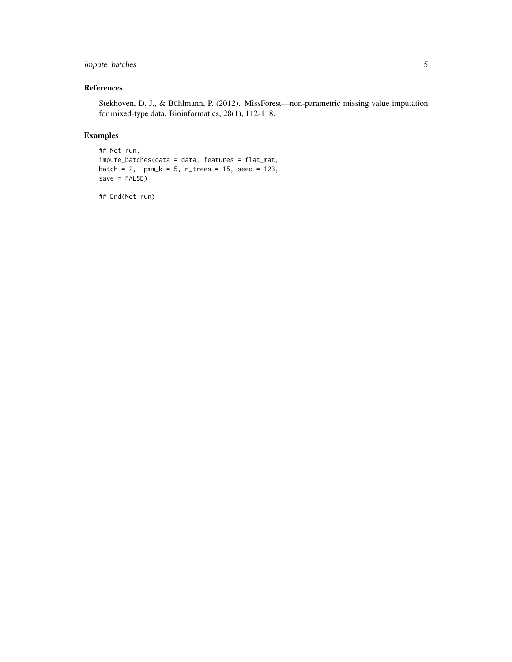#### impute\_batches 5

#### References

Stekhoven, D. J., & Bühlmann, P. (2012). MissForest—non-parametric missing value imputation for mixed-type data. Bioinformatics, 28(1), 112-118.

#### Examples

```
## Not run:
impute_batches(data = data, features = flat_mat,
batch = 2, pmm_k = 5, n_trees = 15, seed = 123,
save = FALSE)
```
## End(Not run)